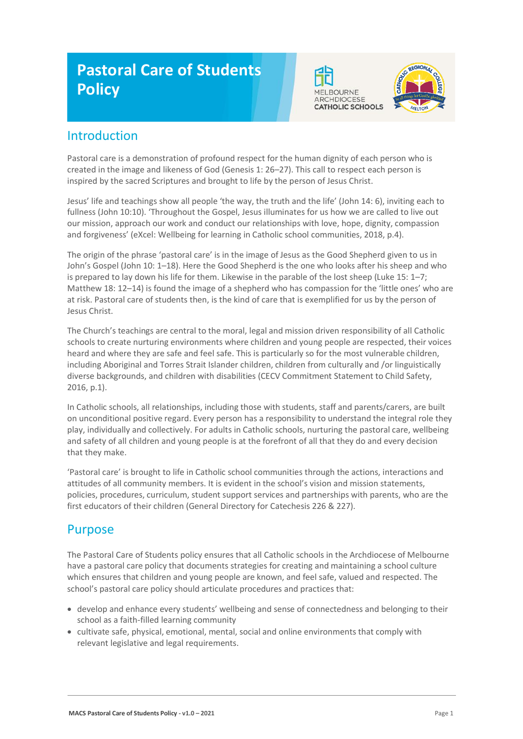# **Pastoral Care of Students Policy**





# Introduction

Pastoral care is a demonstration of profound respect for the human dignity of each person who is created in the image and likeness of God (Genesis 1: 26–27). This call to respect each person is inspired by the sacred Scriptures and brought to life by the person of Jesus Christ.

Jesus' life and teachings show all people 'the way, the truth and the life' (John 14: 6), inviting each to fullness (John 10:10). 'Throughout the Gospel, Jesus illuminates for us how we are called to live out our mission, approach our work and conduct our relationships with love, hope, dignity, compassion and forgiveness' (eXcel: Wellbeing for learning in Catholic school communities, 2018, p.4).

The origin of the phrase 'pastoral care' is in the image of Jesus as the Good Shepherd given to us in John's Gospel (John 10: 1–18). Here the Good Shepherd is the one who looks after his sheep and who is prepared to lay down his life for them. Likewise in the parable of the lost sheep (Luke 15: 1–7; Matthew 18: 12–14) is found the image of a shepherd who has compassion for the 'little ones' who are at risk. Pastoral care of students then, is the kind of care that is exemplified for us by the person of Jesus Christ.

The Church's teachings are central to the moral, legal and mission driven responsibility of all Catholic schools to create nurturing environments where children and young people are respected, their voices heard and where they are safe and feel safe. This is particularly so for the most vulnerable children, including Aboriginal and Torres Strait Islander children, children from culturally and /or linguistically diverse backgrounds, and children with disabilities (CECV Commitment Statement to Child Safety, 2016, p.1).

In Catholic schools, all relationships, including those with students, staff and parents/carers, are built on unconditional positive regard. Every person has a responsibility to understand the integral role they play, individually and collectively. For adults in Catholic schools, nurturing the pastoral care, wellbeing and safety of all children and young people is at the forefront of all that they do and every decision that they make.

'Pastoral care' is brought to life in Catholic school communities through the actions, interactions and attitudes of all community members. It is evident in the school's vision and mission statements, policies, procedures, curriculum, student support services and partnerships with parents, who are the first educators of their children (General Directory for Catechesis 226 & 227).

### Purpose

The Pastoral Care of Students policy ensures that all Catholic schools in the Archdiocese of Melbourne have a pastoral care policy that documents strategies for creating and maintaining a school culture which ensures that children and young people are known, and feel safe, valued and respected. The school's pastoral care policy should articulate procedures and practices that:

- develop and enhance every students' wellbeing and sense of connectedness and belonging to their school as a faith-filled learning community
- cultivate safe, physical, emotional, mental, social and online environments that comply with relevant legislative and legal requirements.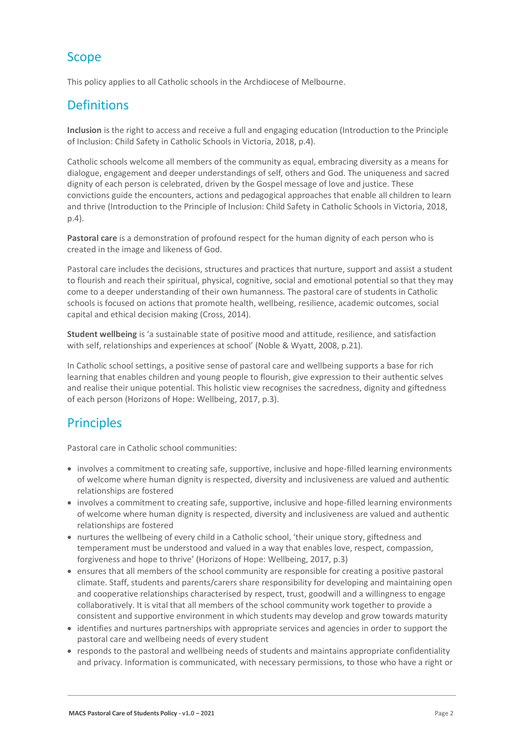## Scope

This policy applies to all Catholic schools in the Archdiocese of Melbourne.

# **Definitions**

**Inclusion** is the right to access and receive a full and engaging education (Introduction to the Principle of Inclusion: Child Safety in Catholic Schools in Victoria, 2018, p.4).

Catholic schools welcome all members of the community as equal, embracing diversity as a means for dialogue, engagement and deeper understandings of self, others and God. The uniqueness and sacred dignity of each person is celebrated, driven by the Gospel message of love and justice. These convictions guide the encounters, actions and pedagogical approaches that enable all children to learn and thrive (Introduction to the Principle of Inclusion: Child Safety in Catholic Schools in Victoria, 2018, p.4).

**Pastoral care** is a demonstration of profound respect for the human dignity of each person who is created in the image and likeness of God.

Pastoral care includes the decisions, structures and practices that nurture, support and assist a student to flourish and reach their spiritual, physical, cognitive, social and emotional potential so that they may come to a deeper understanding of their own humanness. The pastoral care of students in Catholic schools is focused on actions that promote health, wellbeing, resilience, academic outcomes, social capital and ethical decision making (Cross, 2014).

**Student wellbeing** is 'a sustainable state of positive mood and attitude, resilience, and satisfaction with self, relationships and experiences at school' (Noble & Wyatt, 2008, p.21).

In Catholic school settings, a positive sense of pastoral care and wellbeing supports a base for rich learning that enables children and young people to flourish, give expression to their authentic selves and realise their unique potential. This holistic view recognises the sacredness, dignity and giftedness of each person (Horizons of Hope: Wellbeing, 2017, p.3).

# **Principles**

Pastoral care in Catholic school communities:

- involves a commitment to creating safe, supportive, inclusive and hope-filled learning environments of welcome where human dignity is respected, diversity and inclusiveness are valued and authentic relationships are fostered
- involves a commitment to creating safe, supportive, inclusive and hope-filled learning environments of welcome where human dignity is respected, diversity and inclusiveness are valued and authentic relationships are fostered
- nurtures the wellbeing of every child in a Catholic school, 'their unique story, giftedness and temperament must be understood and valued in a way that enables love, respect, compassion, forgiveness and hope to thrive' (Horizons of Hope: Wellbeing, 2017, p.3)
- ensures that all members of the school community are responsible for creating a positive pastoral climate. Staff, students and parents/carers share responsibility for developing and maintaining open and cooperative relationships characterised by respect, trust, goodwill and a willingness to engage collaboratively. It is vital that all members of the school community work together to provide a consistent and supportive environment in which students may develop and grow towards maturity
- identifies and nurtures partnerships with appropriate services and agencies in order to support the pastoral care and wellbeing needs of every student
- responds to the pastoral and wellbeing needs of students and maintains appropriate confidentiality and privacy. Information is communicated, with necessary permissions, to those who have a right or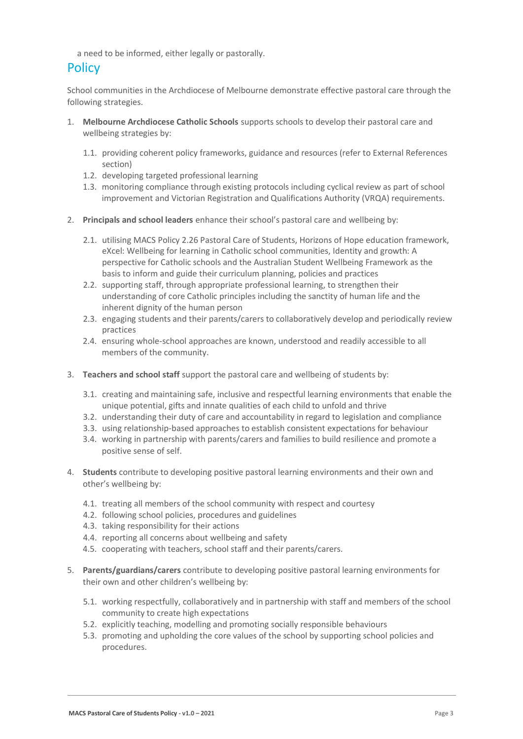a need to be informed, either legally or pastorally.

### **Policy**

School communities in the Archdiocese of Melbourne demonstrate effective pastoral care through the following strategies.

- 1. **Melbourne Archdiocese Catholic Schools** supports schools to develop their pastoral care and wellbeing strategies by:
	- 1.1. providing coherent policy frameworks, guidance and resources (refer to External References section)
	- 1.2. developing targeted professional learning
	- 1.3. monitoring compliance through existing protocols including cyclical review as part of school improvement and Victorian Registration and Qualifications Authority (VRQA) requirements.
- 2. **Principals and school leaders** enhance their school's pastoral care and wellbeing by:
	- 2.1. utilising MACS Policy 2.26 Pastoral Care of Students, Horizons of Hope education framework, eXcel: Wellbeing for learning in Catholic school communities, Identity and growth: A perspective for Catholic schools and the Australian Student Wellbeing Framework as the basis to inform and guide their curriculum planning, policies and practices
	- 2.2. supporting staff, through appropriate professional learning, to strengthen their understanding of core Catholic principles including the sanctity of human life and the inherent dignity of the human person
	- 2.3. engaging students and their parents/carers to collaboratively develop and periodically review practices
	- 2.4. ensuring whole-school approaches are known, understood and readily accessible to all members of the community.
- 3. **Teachers and school staff** support the pastoral care and wellbeing of students by:
	- 3.1. creating and maintaining safe, inclusive and respectful learning environments that enable the unique potential, gifts and innate qualities of each child to unfold and thrive
	- 3.2. understanding their duty of care and accountability in regard to legislation and compliance
	- 3.3. using relationship-based approaches to establish consistent expectations for behaviour
	- 3.4. working in partnership with parents/carers and families to build resilience and promote a positive sense of self.
- 4. **Students** contribute to developing positive pastoral learning environments and their own and other's wellbeing by:
	- 4.1. treating all members of the school community with respect and courtesy
	- 4.2. following school policies, procedures and guidelines
	- 4.3. taking responsibility for their actions
	- 4.4. reporting all concerns about wellbeing and safety
	- 4.5. cooperating with teachers, school staff and their parents/carers.
- 5. **Parents/guardians/carers** contribute to developing positive pastoral learning environments for their own and other children's wellbeing by:
	- 5.1. working respectfully, collaboratively and in partnership with staff and members of the school community to create high expectations
	- 5.2. explicitly teaching, modelling and promoting socially responsible behaviours
	- 5.3. promoting and upholding the core values of the school by supporting school policies and procedures.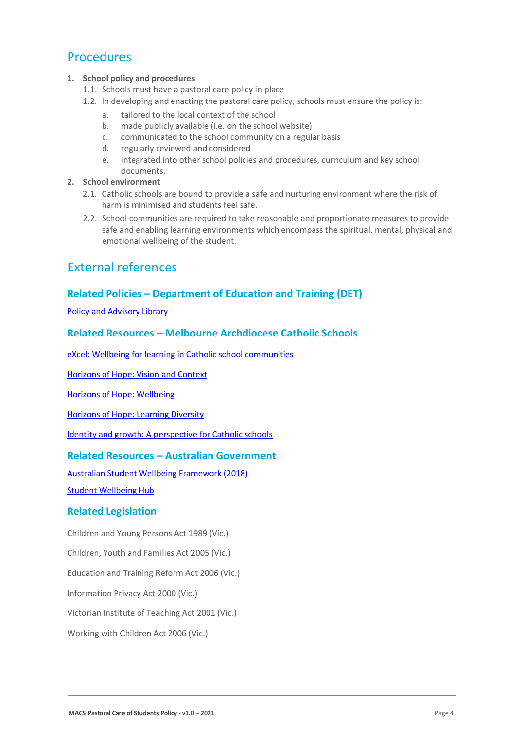### **Procedures**

#### **1. School policy and procedures**

- 1.1. Schools must have a pastoral care policy in place
- 1.2. In developing and enacting the pastoral care policy, schools must ensure the policy is:
	- a. tailored to the local context of the school
	- b. made publicly available (i.e. on the school website)
	- c. communicated to the school community on a regular basis
	- d. regularly reviewed and considered
	- e. integrated into other school policies and procedures, curriculum and key school documents.

#### **2. School environment**

- 2.1. Catholic schools are bound to provide a safe and nurturing environment where the risk of harm is minimised and students feel safe.
- 2.2. School communities are required to take reasonable and proportionate measures to provide safe and enabling learning environments which encompass the spiritual, mental, physical and emotional wellbeing of the student.

### External references

### **Related Policies – Department of Education and Training (DET)**

[Policy and Advisory Library](https://www2.education.vic.gov.au/pal)

### **Related Resources – Melbourne Archdiocese Catholic Schools**

[eXcel: Wellbeing for learning in Catholic school communities](https://www.cem.edu.au/Our-Schools/Curriculum-Learning-Programs/Student-Wellbeing/eXcel.aspx)

[Horizons of Hope: Vision and Context](https://www.cem.edu.au/Our-Schools/Curriculum-Learning-Programs/Horizons-of-Hope/Vision-Context.aspx)

[Horizons of Hope: Wellbeing](https://www.cem.edu.au/Our-Schools/Curriculum-Learning-Programs/Student-Wellbeing.aspx)

[Horizons of Hope: Learning Diversity](https://www.cem.edu.au/Our-Schools/Curriculum-Learning-Programs/Horizons-of-Hope/Learning-Diversity.aspx)

[Identity and growth: A perspective for Catholic schools](https://cevn.cecv.catholic.edu.au/Melb/CI/Identity-Growth)

### **Related Resources – Australian Government**

[Australian Student Wellbeing Framework \(2018\)](https://www.studentwellbeinghub.edu.au/docs/default-source/aswf_booklet-pdf.pdf)

[Student Wellbeing Hub](https://www.studentwellbeinghub.edu.au/)

#### **Related Legislation**

Children and Young Persons Act 1989 (Vic.)

Children, Youth and Families Act 2005 (Vic.)

Education and Training Reform Act 2006 (Vic.)

Information Privacy Act 2000 (Vic.)

Victorian Institute of Teaching Act 2001 (Vic.)

Working with Children Act 2006 (Vic.)